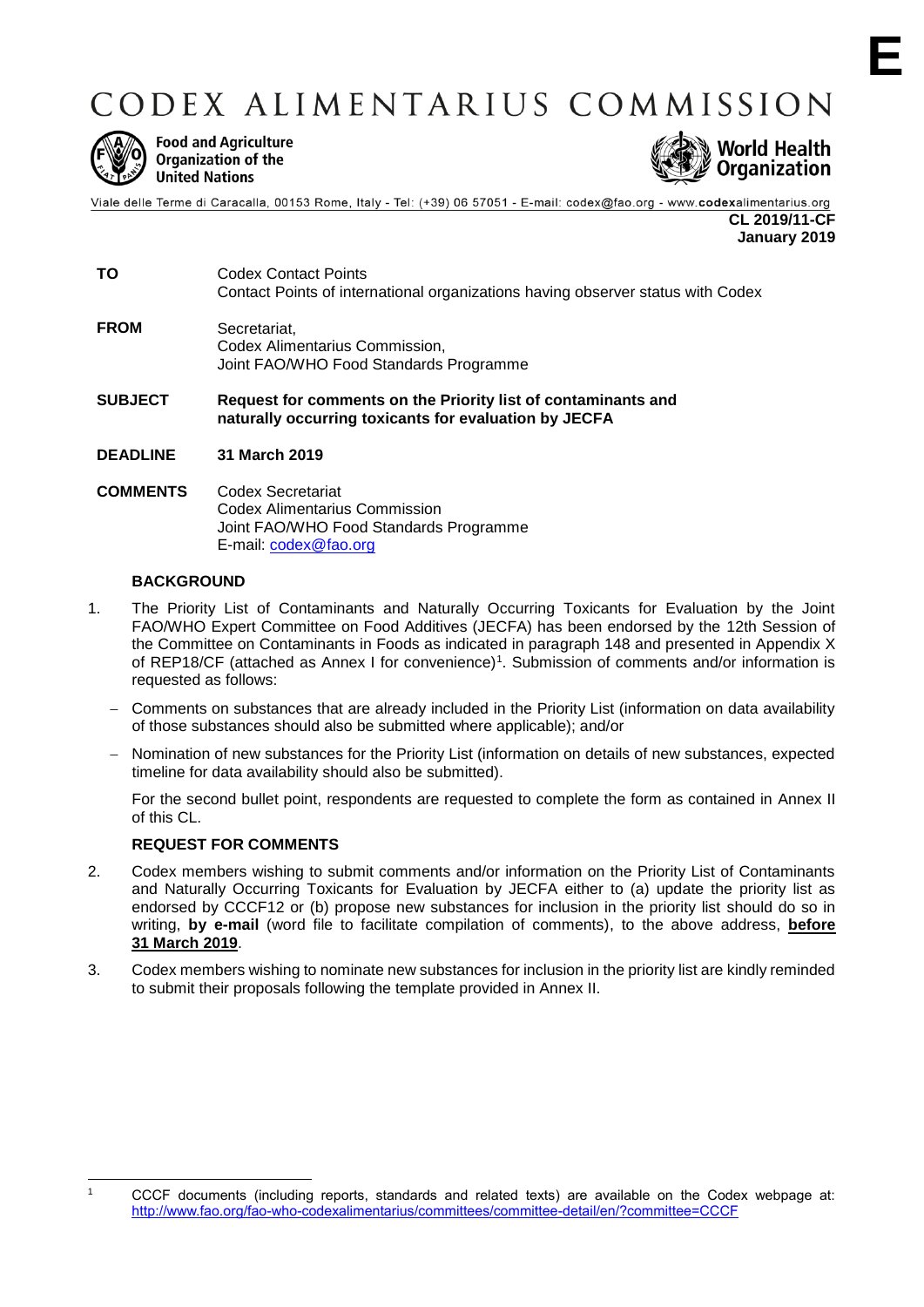# CODEX ALIMENTARIUS COMMISSION



**Food and Agriculture** Organization of the **United Nations** 



Viale delle Terme di Caracalla, 00153 Rome, Italy - Tel: (+39) 06 57051 - E-mail: codex@fao.org - www.codexalimentarius.org **CL 2019/11-CF**

**January 2019**

**TO** Codex Contact Points Contact Points of international organizations having observer status with Codex **FROM** Secretariat, Codex Alimentarius Commission,

Joint FAO/WHO Food Standards Programme **SUBJECT Request for comments on the Priority list of contaminants and** 

**naturally occurring toxicants for evaluation by JECFA**

**DEADLINE 31 March 2019**

#### **COMMENTS** Codex Secretariat Codex Alimentarius Commission Joint FAO/WHO Food Standards Programme E-mail: [codex@fao.org](mailto:codex@fao.org)

# **BACKGROUND**

- 1. The Priority List of Contaminants and Naturally Occurring Toxicants for Evaluation by the Joint FAO/WHO Expert Committee on Food Additives (JECFA) has been endorsed by the 12th Session of the Committee on Contaminants in Foods as indicated in paragraph 148 and presented in Appendix X of REP18/CF (attached as Annex I for convenience)<sup>1</sup>. Submission of comments and/or information is requested as follows:
	- Comments on substances that are already included in the Priority List (information on data availability of those substances should also be submitted where applicable); and/or
	- Nomination of new substances for the Priority List (information on details of new substances, expected timeline for data availability should also be submitted).

For the second bullet point, respondents are requested to complete the form as contained in Annex II of this CL.

# **REQUEST FOR COMMENTS**

-

- 2. Codex members wishing to submit comments and/or information on the Priority List of Contaminants and Naturally Occurring Toxicants for Evaluation by JECFA either to (a) update the priority list as endorsed by CCCF12 or (b) propose new substances for inclusion in the priority list should do so in writing, **by e-mail** (word file to facilitate compilation of comments), to the above address, **before 31 March 2019**.
- 3. Codex members wishing to nominate new substances for inclusion in the priority list are kindly reminded to submit their proposals following the template provided in Annex II.

<sup>1</sup> CCCF documents (including reports, standards and related texts) are available on the Codex webpage at: <http://www.fao.org/fao-who-codexalimentarius/committees/committee-detail/en/?committee=CCCF>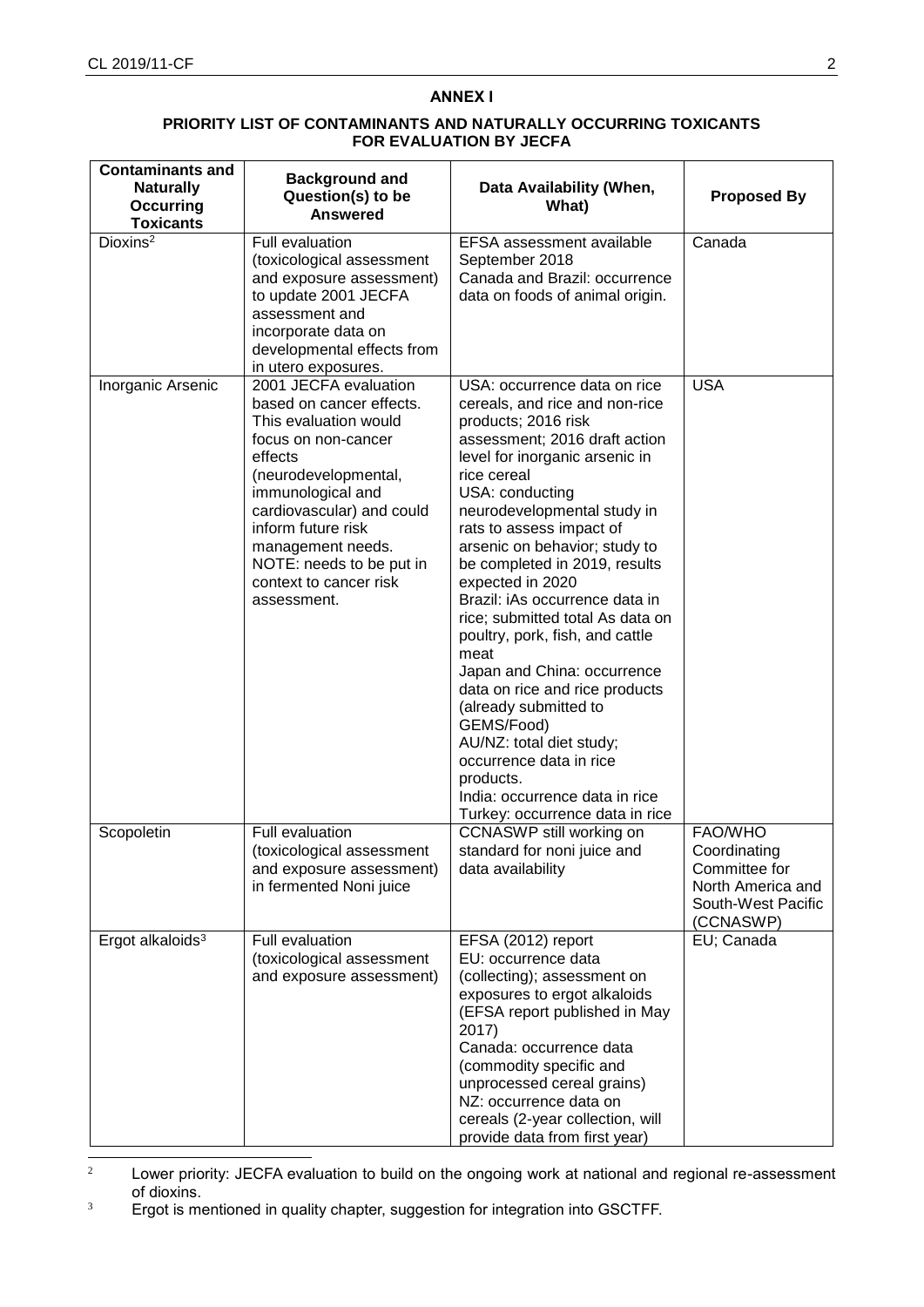# **ANNEX I**

## **PRIORITY LIST OF CONTAMINANTS AND NATURALLY OCCURRING TOXICANTS FOR EVALUATION BY JECFA**

| <b>Contaminants and</b><br><b>Naturally</b><br><b>Occurring</b><br><b>Toxicants</b> | <b>Background and</b><br>Question(s) to be<br><b>Answered</b>                                                                                                                                                                                                                                          | Data Availability (When,<br>What)                                                                                                                                                                                                                                                                                                                                                                                                                                                                                                                                                                                                                                                                             | <b>Proposed By</b>                                                                               |
|-------------------------------------------------------------------------------------|--------------------------------------------------------------------------------------------------------------------------------------------------------------------------------------------------------------------------------------------------------------------------------------------------------|---------------------------------------------------------------------------------------------------------------------------------------------------------------------------------------------------------------------------------------------------------------------------------------------------------------------------------------------------------------------------------------------------------------------------------------------------------------------------------------------------------------------------------------------------------------------------------------------------------------------------------------------------------------------------------------------------------------|--------------------------------------------------------------------------------------------------|
| Dioxins <sup>2</sup>                                                                | Full evaluation<br>(toxicological assessment<br>and exposure assessment)<br>to update 2001 JECFA<br>assessment and<br>incorporate data on<br>developmental effects from<br>in utero exposures.                                                                                                         | EFSA assessment available<br>September 2018<br>Canada and Brazil: occurrence<br>data on foods of animal origin.                                                                                                                                                                                                                                                                                                                                                                                                                                                                                                                                                                                               | Canada                                                                                           |
| Inorganic Arsenic                                                                   | 2001 JECFA evaluation<br>based on cancer effects.<br>This evaluation would<br>focus on non-cancer<br>effects<br>(neurodevelopmental,<br>immunological and<br>cardiovascular) and could<br>inform future risk<br>management needs.<br>NOTE: needs to be put in<br>context to cancer risk<br>assessment. | USA: occurrence data on rice<br>cereals, and rice and non-rice<br>products; 2016 risk<br>assessment; 2016 draft action<br>level for inorganic arsenic in<br>rice cereal<br>USA: conducting<br>neurodevelopmental study in<br>rats to assess impact of<br>arsenic on behavior; study to<br>be completed in 2019, results<br>expected in 2020<br>Brazil: iAs occurrence data in<br>rice; submitted total As data on<br>poultry, pork, fish, and cattle<br>meat<br>Japan and China: occurrence<br>data on rice and rice products<br>(already submitted to<br>GEMS/Food)<br>AU/NZ: total diet study;<br>occurrence data in rice<br>products.<br>India: occurrence data in rice<br>Turkey: occurrence data in rice | <b>USA</b>                                                                                       |
| Scopoletin                                                                          | Full evaluation<br>(toxicological assessment<br>and exposure assessment)<br>in fermented Noni juice                                                                                                                                                                                                    | CCNASWP still working on<br>standard for noni juice and<br>data availability                                                                                                                                                                                                                                                                                                                                                                                                                                                                                                                                                                                                                                  | FAO/WHO<br>Coordinating<br>Committee for<br>North America and<br>South-West Pacific<br>(CCNASWP) |
| Ergot alkaloids <sup>3</sup>                                                        | Full evaluation<br>(toxicological assessment<br>and exposure assessment)                                                                                                                                                                                                                               | EFSA (2012) report<br>EU: occurrence data<br>(collecting); assessment on<br>exposures to ergot alkaloids<br>(EFSA report published in May<br>2017)<br>Canada: occurrence data<br>(commodity specific and<br>unprocessed cereal grains)<br>NZ: occurrence data on<br>cereals (2-year collection, will<br>provide data from first year)                                                                                                                                                                                                                                                                                                                                                                         | EU; Canada                                                                                       |

 $\sqrt{2}$ Lower priority: JECFA evaluation to build on the ongoing work at national and regional re-assessment of dioxins.

<sup>3</sup> Ergot is mentioned in quality chapter, suggestion for integration into GSCTFF.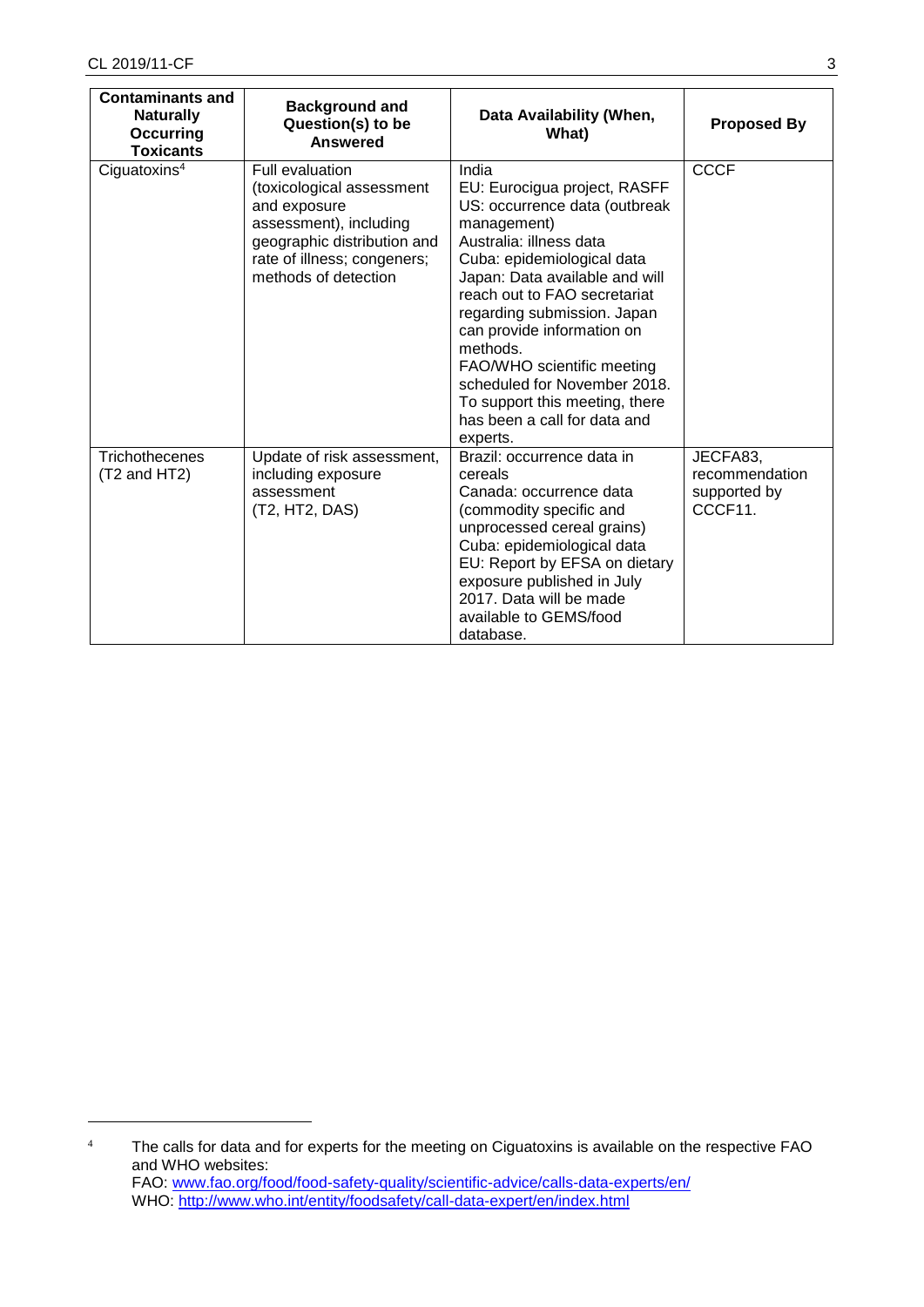1

| <b>Contaminants and</b><br><b>Naturally</b><br>Occurring<br><b>Toxicants</b> | <b>Background and</b><br>Question(s) to be<br><b>Answered</b>                                                                                                                       | Data Availability (When,<br>What)                                                                                                                                                                                                                                                                                                                                                                                                     | <b>Proposed By</b>                                    |
|------------------------------------------------------------------------------|-------------------------------------------------------------------------------------------------------------------------------------------------------------------------------------|---------------------------------------------------------------------------------------------------------------------------------------------------------------------------------------------------------------------------------------------------------------------------------------------------------------------------------------------------------------------------------------------------------------------------------------|-------------------------------------------------------|
| Ciguatoxins <sup>4</sup>                                                     | <b>Full evaluation</b><br>(toxicological assessment<br>and exposure<br>assessment), including<br>geographic distribution and<br>rate of illness; congeners;<br>methods of detection | India<br>EU: Eurocigua project, RASFF<br>US: occurrence data (outbreak<br>management)<br>Australia: illness data<br>Cuba: epidemiological data<br>Japan: Data available and will<br>reach out to FAO secretariat<br>regarding submission. Japan<br>can provide information on<br>methods.<br>FAO/WHO scientific meeting<br>scheduled for November 2018.<br>To support this meeting, there<br>has been a call for data and<br>experts. | <b>CCCF</b>                                           |
| <b>Trichothecenes</b><br>(T2 and HT2)                                        | Update of risk assessment,<br>including exposure<br>assessment<br>(T2, HT2, DAS)                                                                                                    | Brazil: occurrence data in<br>cereals<br>Canada: occurrence data<br>(commodity specific and<br>unprocessed cereal grains)<br>Cuba: epidemiological data<br>EU: Report by EFSA on dietary<br>exposure published in July<br>2017. Data will be made<br>available to GEMS/food<br>database.                                                                                                                                              | JECFA83,<br>recommendation<br>supported by<br>CCCF11. |

<sup>&</sup>lt;sup>4</sup> The calls for data and for experts for the meeting on Ciguatoxins is available on the respective FAO and WHO websites: FAO: [www.fao.org/food/food-safety-quality/scientific-advice/calls-data-experts/en/](http://www.fao.org/food/food-safety-quality/scientific-advice/calls-data-experts/en/) WHO:<http://www.who.int/entity/foodsafety/call-data-expert/en/index.html>